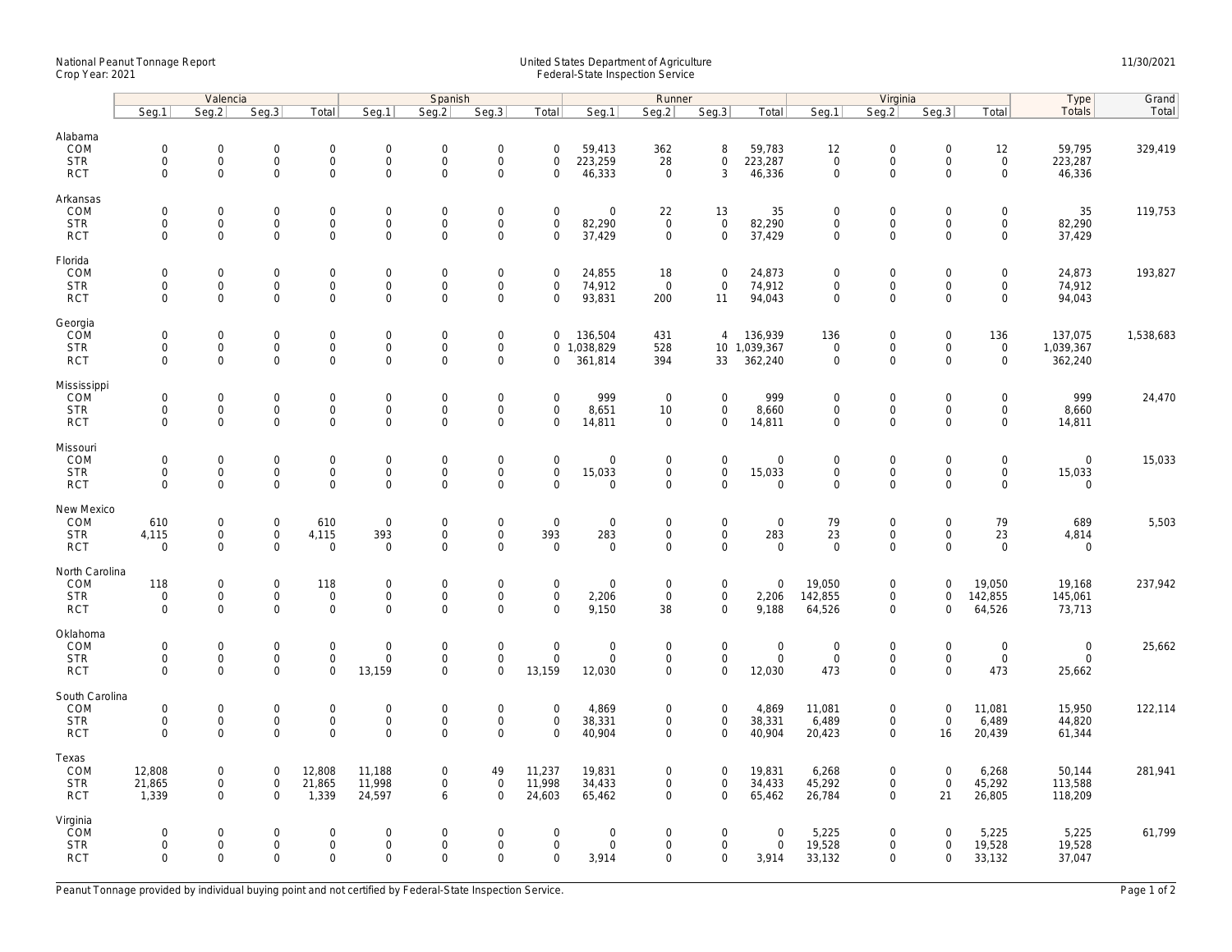## National Peanut Tonnage Report United States Department of Agriculture 11/30/2021<br>Crop Year: 2021 Federal-State Inspection Service

|                                                   | Valencia                                  |                                                           |                                           |                                                     | Spanish                                      |                                           |                                                           |                                           |                                                   | Runner                                    |                                                    |                                        | Virginia                                           |                                                           |                                           |                                                           | Type                                 | Grand     |
|---------------------------------------------------|-------------------------------------------|-----------------------------------------------------------|-------------------------------------------|-----------------------------------------------------|----------------------------------------------|-------------------------------------------|-----------------------------------------------------------|-------------------------------------------|---------------------------------------------------|-------------------------------------------|----------------------------------------------------|----------------------------------------|----------------------------------------------------|-----------------------------------------------------------|-------------------------------------------|-----------------------------------------------------------|--------------------------------------|-----------|
|                                                   | Seg.1                                     | Seg.2                                                     | Seg.3                                     | Total                                               | Seg.1                                        | Seq.2                                     | Seg.3                                                     | Total                                     | Seg.1                                             | Seg.2                                     | Seg.3                                              | Total                                  | Seg.1                                              | Seg.2                                                     | Seg.3                                     | Total                                                     | Totals                               | Total     |
| Alabama<br>COM<br><b>STR</b><br><b>RCT</b>        | $\mathbf 0$<br>$\mathbf 0$<br>$\Omega$    | $\mathbf 0$<br>$\mathsf{O}\xspace$<br>$\mathbf{0}$        | $\mathbf 0$<br>$\mathbf 0$<br>$\mathbf 0$ | $\mathbf 0$<br>$\mathbf 0$<br>$\mathbf{0}$          | $\mathsf{O}$<br>$\mathbf 0$<br>$\mathbf 0$   | $\mathbf 0$<br>$\mathsf 0$<br>$\Omega$    | $\mathbf 0$<br>$\mathsf{O}\xspace$<br>$\Omega$            | $\mathbf 0$<br>$\mathsf 0$<br>$\Omega$    | 59,413<br>223,259<br>46,333                       | 362<br>28<br>$\overline{0}$               | 8<br>$\mathbf 0$<br>3                              | 59,783<br>223,287<br>46,336            | 12<br>$\mathsf{O}\xspace$<br>$\mathbf 0$           | $\mathbf 0$<br>$\mathsf{O}\xspace$<br>$\Omega$            | $\mathsf 0$<br>$\mathsf 0$<br>$\Omega$    | 12<br>$\mathbf 0$<br>$\mathbf{0}$                         | 59,795<br>223,287<br>46,336          | 329,419   |
| Arkansas<br>COM<br><b>STR</b><br><b>RCT</b>       | $\mathbf 0$<br>$\mathbf 0$<br>$\mathbf 0$ | $\mathbf{0}$<br>$\mathsf{O}\xspace$<br>$\mathbf 0$        | $\mathbf 0$<br>0<br>$\mathbf 0$           | $\mathbf 0$<br>0<br>$\mathbf 0$                     | $\mathbf 0$<br>$\mathsf{O}$<br>$\mathbf 0$   | $\mathbf 0$<br>$\mathsf 0$<br>$\mathbf 0$ | $\mathbf 0$<br>$\mathsf{O}\xspace$<br>$\mathbf 0$         | $\mathbf 0$<br>$\mathsf 0$<br>$\Omega$    | $\mathbf 0$<br>82,290<br>37,429                   | 22<br>$\mathbf 0$<br>$\mathbf 0$          | 13<br>$\mathsf 0$<br>$\mathbf 0$                   | 35<br>82,290<br>37,429                 | $\mathbf 0$<br>$\mathsf{O}\xspace$<br>$\mathbf{0}$ | $\mathbf 0$<br>$\mathsf{O}\xspace$<br>$\mathbf 0$         | $\mathbf 0$<br>$\mathbf 0$<br>$\Omega$    | $\mathbf 0$<br>$\mathbf 0$<br>$\mathbf 0$                 | 35<br>82,290<br>37,429               | 119,753   |
| Florida<br>COM<br><b>STR</b><br><b>RCT</b>        | $\mathbf 0$<br>$\mathbf 0$<br>$\mathbf 0$ | $\mathsf{O}\xspace$<br>$\mathsf{O}\xspace$<br>$\mathbf 0$ | $\mathbf 0$<br>$\mathbf 0$<br>$\mathbf 0$ | $\mathsf{O}\xspace$<br>$\mathbf 0$<br>$\mathbf 0$   | $\mathbf 0$<br>$\mathbf 0$<br>$\mathbf 0$    | $\mathbf 0$<br>$\mathbf 0$<br>$\mathbf 0$ | $\mathsf{O}\xspace$<br>$\mathsf{O}\xspace$<br>$\mathbf 0$ | $\mathsf 0$<br>0<br>$\mathbf 0$           | 24,855<br>74,912<br>93,831                        | 18<br>$\overline{0}$<br>200               | $\mathsf{O}\xspace$<br>$\mathbf 0$<br>11           | 24,873<br>74,912<br>94,043             | $\mathbf 0$<br>$\mathbf 0$<br>$\mathbf 0$          | $\mathbf 0$<br>$\mathsf{O}\xspace$<br>$\mathbf 0$         | $\mathsf 0$<br>$\mathbf 0$<br>$\mathbf 0$ | $\mathsf{O}\xspace$<br>$\mathbf 0$<br>$\mathbf 0$         | 24,873<br>74,912<br>94,043           | 193,827   |
| Georgia<br>COM<br><b>STR</b><br><b>RCT</b>        | $\mathbf 0$<br>$\mathbf 0$<br>$\mathbf 0$ | $\mathbf 0$<br>$\mathsf{O}\xspace$<br>$\mathbf{0}$        | $\mathbf 0$<br>$\mathbf 0$<br>$\mathbf 0$ | $\mathsf{O}\xspace$<br>$\mathsf{O}$<br>$\mathbf{0}$ | $\mathbf 0$<br>$\mathsf{O}$<br>$\mathbf 0$   | $\mathbf 0$<br>$\mathsf 0$<br>$\mathbf 0$ | $\mathsf{O}\xspace$<br>$\mathsf{O}\xspace$<br>$\mathbf 0$ | $\mathbf 0$<br>0                          | 136,504<br>0 1,038,829<br>361,814                 | 431<br>528<br>394                         | $\overline{4}$<br>33                               | 136,939<br>10 1,039,367<br>362,240     | 136<br>$\mathbf 0$<br>$\mathbf 0$                  | $\mathbf 0$<br>$\mathsf{O}\xspace$<br>$\mathbf 0$         | $\mathsf 0$<br>$\mathbf 0$<br>$\mathbf 0$ | 136<br>$\mathbf 0$<br>$\mathbf 0$                         | 137,075<br>1,039,367<br>362,240      | 1,538,683 |
| Mississippi<br>COM<br><b>STR</b><br><b>RCT</b>    | $\mathbf 0$<br>$\mathbf 0$<br>$\mathbf 0$ | $\mathbf 0$<br>$\mathsf{O}\xspace$<br>$\mathbf 0$         | $\mathbf 0$<br>0<br>$\mathbf 0$           | $\mathbf{0}$<br>$\mathbf 0$<br>$\mathbf 0$          | $\mathbf 0$<br>$\mathsf{O}$<br>$\mathbf 0$   | $\mathbf 0$<br>$\mathsf 0$<br>$\mathbf 0$ | $\mathbf 0$<br>$\mathsf{O}\xspace$<br>$\mathbf 0$         | $\mathbf 0$<br>0<br>$\mathbf 0$           | 999<br>8,651<br>14,811                            | $\mathbf 0$<br>10<br>0                    | $\mathbf 0$<br>$\mathbf 0$<br>$\mathbf 0$          | 999<br>8,660<br>14,811                 | $\mathbf 0$<br>$\mathsf{O}\xspace$<br>0            | $\mathbf 0$<br>$\mathsf{O}\xspace$<br>$\mathbf 0$         | $\Omega$<br>$\mathbf 0$<br>$\mathbf 0$    | $\mathbf 0$<br>$\mathsf{O}$<br>$\mathbf 0$                | 999<br>8,660<br>14,811               | 24,470    |
| Missouri<br>COM<br><b>STR</b><br><b>RCT</b>       | $\mathbf 0$<br>$\Omega$<br>$\Omega$       | $\mathsf{O}\xspace$<br>0<br>$\mathbf 0$                   | $\mathbf 0$<br>$\mathbf 0$<br>$\mathbf 0$ | $\mathsf{O}\xspace$<br>0<br>$\mathbf 0$             | $\mathbf 0$<br>$\mathbf 0$<br>$\mathbf 0$    | $\mathbf 0$<br>$\mathbf 0$<br>$\mathbf 0$ | $\mathsf{O}\xspace$<br>$\mathsf{O}\xspace$<br>$\mathbf 0$ | $\mathsf 0$<br>$\mathbf 0$<br>$\Omega$    | $\mathsf{O}\xspace$<br>15,033<br>$\mathbf 0$      | $\mathbf 0$<br>$\mathbf 0$<br>$\mathbf 0$ | $\mathsf{O}\xspace$<br>$\mathbf 0$<br>$\mathbf{0}$ | $\mathbf 0$<br>15,033<br>$\mathbf 0$   | $\mathbf 0$<br>$\mathbf 0$<br>$\mathbf 0$          | $\mathsf{O}\xspace$<br>$\mathsf{O}\xspace$<br>$\mathbf 0$ | $\mathbf 0$<br>$\mathbf 0$<br>$\mathbf 0$ | $\mathsf{O}\xspace$<br>$\mathsf{O}\xspace$<br>$\mathbf 0$ | $\mathbf 0$<br>15,033<br>$\mathbf 0$ | 15,033    |
| New Mexico<br>COM<br><b>STR</b><br><b>RCT</b>     | 610<br>4,115<br>$\mathbf 0$               | $\mathsf{O}\xspace$<br>$\mathsf{O}\xspace$<br>$\Omega$    | $\mathbf 0$<br>$\mathbf 0$<br>$\Omega$    | 610<br>4,115<br>$\mathbf 0$                         | $\mathbf 0$<br>393<br>$\mathbf 0$            | $\mathbf 0$<br>$\mathbf 0$<br>$\mathbf 0$ | $\mathsf{O}\xspace$<br>$\mathbf 0$<br>$\mathsf{O}\xspace$ | $\mathsf 0$<br>393<br>$\Omega$            | $\mathsf{O}\xspace$<br>283<br>$\mathsf{O}\xspace$ | $\mathbf 0$<br>$\mathbf 0$<br>$\Omega$    | $\mathsf{O}\xspace$<br>$\mathbf 0$<br>$\mathsf{O}$ | $\mathbf 0$<br>283<br>$\mathbf 0$      | 79<br>23<br>$\Omega$                               | $\mathsf{O}\xspace$<br>$\mathbf 0$<br>$\mathsf{O}\xspace$ | $\overline{0}$<br>$\mathbf 0$<br>$\Omega$ | 79<br>23<br>$\mathsf{O}\xspace$                           | 689<br>4,814<br>$\mathbf 0$          | 5,503     |
| North Carolina<br>COM<br><b>STR</b><br><b>RCT</b> | 118<br>$\mathbf 0$<br>$\mathbf 0$         | 0<br>$\mathbf 0$<br>$\mathbf 0$                           | $\mathbf 0$<br>$\mathbf 0$<br>$\mathbf 0$ | 118<br>$\mathbf 0$<br>$\mathbf{0}$                  | $\mathbf 0$<br>$\mathbf 0$<br>$\overline{0}$ | $\mathbf 0$<br>$\mathbf 0$<br>$\mathbf 0$ | $\mathsf{O}\xspace$<br>$\mathsf 0$<br>$\Omega$            | $\mathbf 0$<br>$\mathbf 0$<br>$\Omega$    | $\mathbf 0$<br>2,206<br>9,150                     | $\mathbf 0$<br>$\mathbf 0$<br>38          | $\mathsf{O}\xspace$<br>$\mathbf 0$<br>$\mathbf{0}$ | $\mathbf 0$<br>2,206<br>9,188          | 19,050<br>142,855<br>64,526                        | $\mathbf 0$<br>$\mathsf{O}$<br>$\mathbf 0$                | $\Omega$<br>$\mathbf 0$<br>$\Omega$       | 19,050<br>142,855<br>64,526                               | 19,168<br>145,061<br>73,713          | 237,942   |
| Oklahoma<br>COM<br><b>STR</b><br><b>RCT</b>       | $\mathbf 0$<br>$\mathbf 0$<br>$\Omega$    | $\mathbf 0$<br>$\mathsf{O}\xspace$<br>$\mathbf 0$         | $\mathbf 0$<br>$\mathbf 0$<br>$\mathbf 0$ | $\mathbf{0}$<br>$\mathsf{O}\xspace$<br>$\mathbf 0$  | $\mathbf 0$<br>$\mathsf{O}$<br>13,159        | $\mathbf 0$<br>$\mathbf 0$<br>$\mathbf 0$ | $\mathbf 0$<br>$\mathsf{O}\xspace$<br>$\Omega$            | $\mathbf{0}$<br>$\mathsf 0$<br>13,159     | $\mathbf 0$<br>$\mathbf 0$<br>12,030              | $\mathbf 0$<br>$\mathbf 0$<br>$\mathbf 0$ | $\mathbf{0}$<br>$\mathsf{O}\xspace$<br>$\mathbf 0$ | $\mathsf{O}$<br>$\mathsf{O}$<br>12,030 | $\mathbf 0$<br>$\mathsf{O}\xspace$<br>473          | $\mathbf 0$<br>$\mathsf{O}$<br>$\mathbf 0$                | $\mathbf 0$<br>$\mathbf 0$<br>$\Omega$    | $\mathsf{O}\xspace$<br>$\mathsf{O}\xspace$<br>473         | $\mathbf 0$<br>$\mathbf 0$<br>25,662 | 25,662    |
| South Carolina<br>COM<br><b>STR</b><br><b>RCT</b> | $\mathbf 0$<br>$\mathbf 0$<br>$\mathbf 0$ | $\mathsf{O}\xspace$<br>0<br>$\mathbf 0$                   | $\mathbf 0$<br>$\mathbf 0$<br>$\mathbf 0$ | $\mathbf 0$<br>$\mathbf 0$<br>$\mathsf{O}$          | $\mathbf 0$<br>$\mathbf 0$<br>$\mathbf 0$    | $\mathbf 0$<br>$\mathbf 0$<br>$\mathbf 0$ | $\mathsf{O}\xspace$<br>$\mathsf{O}\xspace$<br>$\mathbf 0$ | $\mathbf 0$<br>$\mathbf 0$<br>$\mathbf 0$ | 4,869<br>38,331<br>40,904                         | 0<br>0<br>$\mathbf 0$                     | $\mathbf 0$<br>$\mathbf 0$<br>$\mathbf 0$          | 4,869<br>38,331<br>40,904              | 11,081<br>6,489<br>20,423                          | $\mathsf{O}\xspace$<br>$\mathsf{O}\xspace$<br>$\mathbf 0$ | $\mathbf 0$<br>$\mathbf 0$<br>16          | 11,081<br>6,489<br>20,439                                 | 15,950<br>44,820<br>61,344           | 122,114   |
| Texas<br>COM<br><b>STR</b><br><b>RCT</b>          | 12,808<br>21,865<br>1,339                 | $\mathbf 0$<br>$\mathsf{O}\xspace$<br>$\mathbf{0}$        | $\mathbf 0$<br>$\mathsf 0$<br>$\mathbf 0$ | 12,808<br>21,865<br>1,339                           | 11,188<br>11,998<br>24,597                   | $\mathbf 0$<br>$\mathsf 0$<br>6           | 49<br>$\mathsf 0$<br>$\Omega$                             | 11,237<br>11,998<br>24,603                | 19,831<br>34,433<br>65,462                        | 0<br>0<br>$\mathbf 0$                     | $\mathbf 0$<br>$\mathbf 0$<br>$\mathbf 0$          | 19,831<br>34,433<br>65,462             | 6,268<br>45,292<br>26,784                          | $\mathbf 0$<br>$\mathsf{O}\xspace$<br>$\mathbf 0$         | $\mathbf 0$<br>$\mathsf 0$<br>21          | 6,268<br>45,292<br>26,805                                 | 50,144<br>113,588<br>118,209         | 281,941   |
| Virginia<br>COM<br><b>STR</b><br><b>RCT</b>       | $\mathbf 0$<br>$\mathbf 0$<br>$\mathbf 0$ | $\mathbf{0}$<br>$\mathsf{O}\xspace$<br>$\mathbf 0$        | $\mathbf 0$<br>$\mathbf 0$<br>$\mathbf 0$ | $\mathbf 0$<br>$\mathsf{O}\xspace$<br>$\mathbf 0$   | $\mathbf 0$<br>$\mathsf{O}$<br>$\mathbf 0$   | $\mathbf 0$<br>$\mathbf 0$<br>$\Omega$    | $\mathbf 0$<br>$\mathsf{O}\xspace$<br>$\mathbf 0$         | $\mathbf 0$<br>$\mathsf 0$<br>$\mathbf 0$ | $\mathbf 0$<br>$\mathsf{O}\xspace$<br>3,914       | 0<br>0<br>0                               | $\mathbf 0$<br>$\mathbf 0$<br>$\mathbf 0$          | $\mathbf 0$<br>$\mathsf 0$<br>3,914    | 5,225<br>19,528<br>33,132                          | $\mathbf 0$<br>$\mathsf{O}\xspace$<br>$\mathbf 0$         | $\Omega$<br>$\mathbf 0$<br>$\mathbf 0$    | 5,225<br>19,528<br>33,132                                 | 5,225<br>19,528<br>37,047            | 61,799    |

Peanut Tonnage provided by individual buying point and not certified by Federal-State Inspection Service. Page 1 of 2